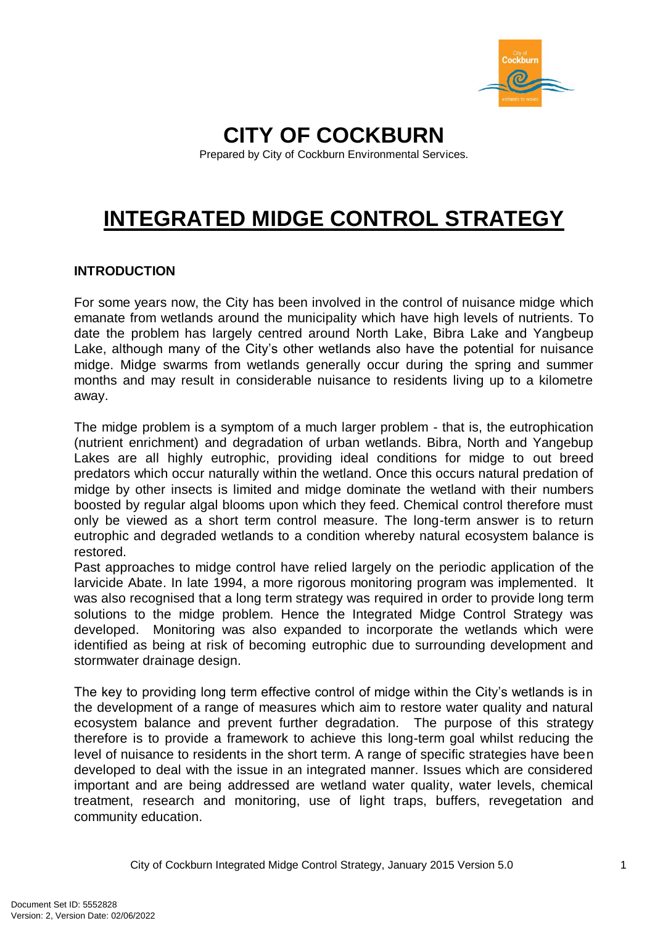

## **CITY OF COCKBURN**

Prepared by City of Cockburn Environmental Services.

# **INTEGRATED MIDGE CONTROL STRATEGY**

#### **INTRODUCTION**

For some years now, the City has been involved in the control of nuisance midge which emanate from wetlands around the municipality which have high levels of nutrients. To date the problem has largely centred around North Lake, Bibra Lake and Yangbeup Lake, although many of the City's other wetlands also have the potential for nuisance midge. Midge swarms from wetlands generally occur during the spring and summer months and may result in considerable nuisance to residents living up to a kilometre away.

The midge problem is a symptom of a much larger problem - that is, the eutrophication (nutrient enrichment) and degradation of urban wetlands. Bibra, North and Yangebup Lakes are all highly eutrophic, providing ideal conditions for midge to out breed predators which occur naturally within the wetland. Once this occurs natural predation of midge by other insects is limited and midge dominate the wetland with their numbers boosted by regular algal blooms upon which they feed. Chemical control therefore must only be viewed as a short term control measure. The long-term answer is to return eutrophic and degraded wetlands to a condition whereby natural ecosystem balance is restored.

Past approaches to midge control have relied largely on the periodic application of the larvicide Abate. In late 1994, a more rigorous monitoring program was implemented. It was also recognised that a long term strategy was required in order to provide long term solutions to the midge problem. Hence the Integrated Midge Control Strategy was developed. Monitoring was also expanded to incorporate the wetlands which were identified as being at risk of becoming eutrophic due to surrounding development and stormwater drainage design.

The key to providing long term effective control of midge within the City's wetlands is in the development of a range of measures which aim to restore water quality and natural ecosystem balance and prevent further degradation. The purpose of this strategy therefore is to provide a framework to achieve this long-term goal whilst reducing the level of nuisance to residents in the short term. A range of specific strategies have been developed to deal with the issue in an integrated manner. Issues which are considered important and are being addressed are wetland water quality, water levels, chemical treatment, research and monitoring, use of light traps, buffers, revegetation and community education.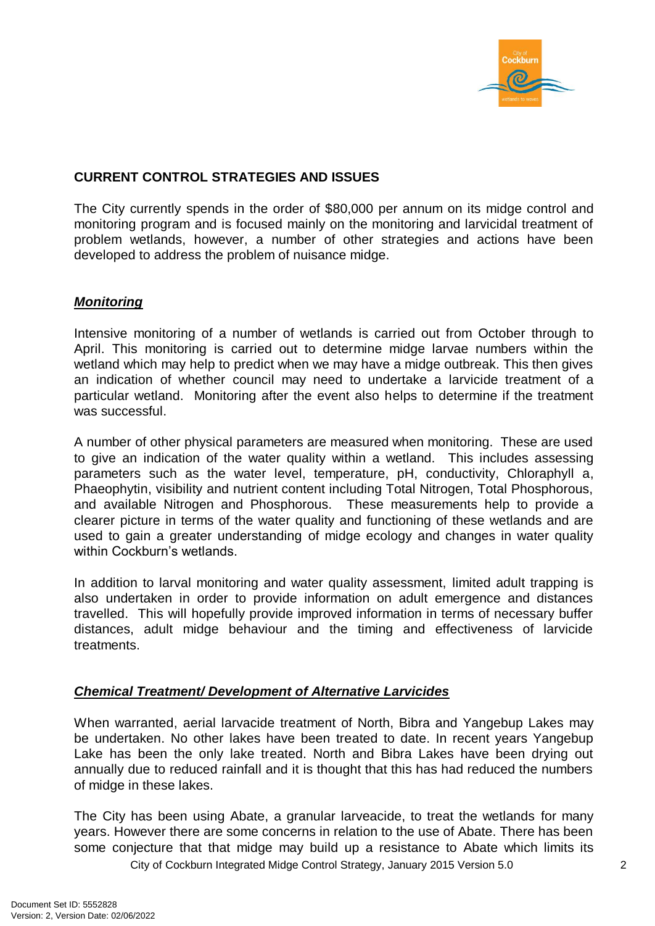

#### **CURRENT CONTROL STRATEGIES AND ISSUES**

The City currently spends in the order of \$80,000 per annum on its midge control and monitoring program and is focused mainly on the monitoring and larvicidal treatment of problem wetlands, however, a number of other strategies and actions have been developed to address the problem of nuisance midge.

#### *Monitoring*

Intensive monitoring of a number of wetlands is carried out from October through to April. This monitoring is carried out to determine midge larvae numbers within the wetland which may help to predict when we may have a midge outbreak. This then gives an indication of whether council may need to undertake a larvicide treatment of a particular wetland. Monitoring after the event also helps to determine if the treatment was successful.

A number of other physical parameters are measured when monitoring. These are used to give an indication of the water quality within a wetland. This includes assessing parameters such as the water level, temperature, pH, conductivity, Chloraphyll a, Phaeophytin, visibility and nutrient content including Total Nitrogen, Total Phosphorous, and available Nitrogen and Phosphorous. These measurements help to provide a clearer picture in terms of the water quality and functioning of these wetlands and are used to gain a greater understanding of midge ecology and changes in water quality within Cockburn's wetlands.

In addition to larval monitoring and water quality assessment, limited adult trapping is also undertaken in order to provide information on adult emergence and distances travelled. This will hopefully provide improved information in terms of necessary buffer distances, adult midge behaviour and the timing and effectiveness of larvicide treatments.

#### *Chemical Treatment/ Development of Alternative Larvicides*

When warranted, aerial larvacide treatment of North, Bibra and Yangebup Lakes may be undertaken. No other lakes have been treated to date. In recent years Yangebup Lake has been the only lake treated. North and Bibra Lakes have been drying out annually due to reduced rainfall and it is thought that this has had reduced the numbers of midge in these lakes.

City of Cockburn Integrated Midge Control Strategy, January 2015 Version 5.0 2 The City has been using Abate, a granular larveacide, to treat the wetlands for many years. However there are some concerns in relation to the use of Abate. There has been some conjecture that that midge may build up a resistance to Abate which limits its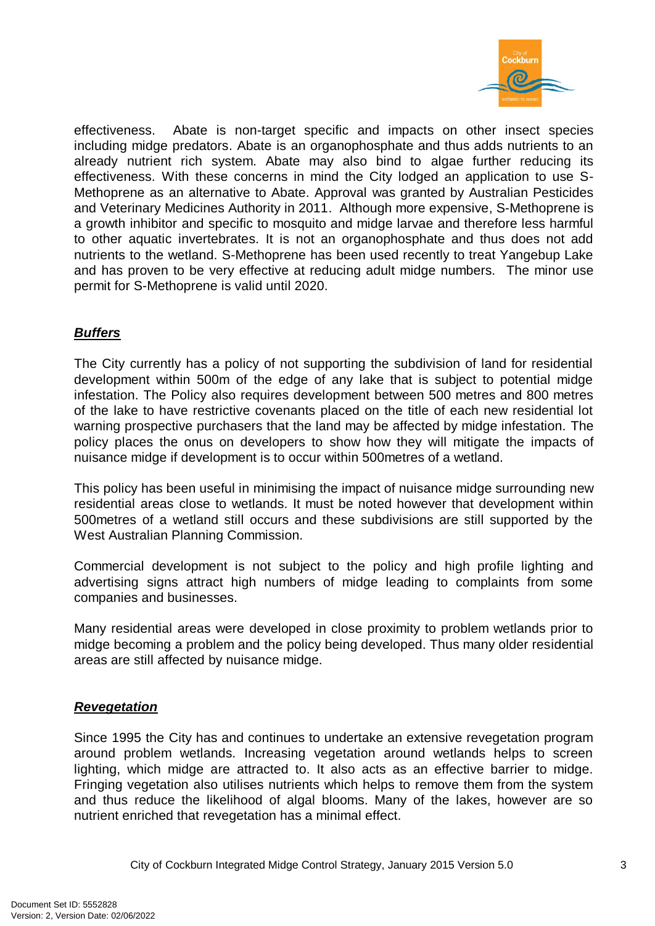

effectiveness. Abate is non-target specific and impacts on other insect species including midge predators. Abate is an organophosphate and thus adds nutrients to an already nutrient rich system. Abate may also bind to algae further reducing its effectiveness. With these concerns in mind the City lodged an application to use S-Methoprene as an alternative to Abate. Approval was granted by Australian Pesticides and Veterinary Medicines Authority in 2011. Although more expensive, S-Methoprene is a growth inhibitor and specific to mosquito and midge larvae and therefore less harmful to other aquatic invertebrates. It is not an organophosphate and thus does not add nutrients to the wetland. S-Methoprene has been used recently to treat Yangebup Lake and has proven to be very effective at reducing adult midge numbers. The minor use permit for S-Methoprene is valid until 2020.

#### *Buffers*

The City currently has a policy of not supporting the subdivision of land for residential development within 500m of the edge of any lake that is subject to potential midge infestation. The Policy also requires development between 500 metres and 800 metres of the lake to have restrictive covenants placed on the title of each new residential lot warning prospective purchasers that the land may be affected by midge infestation. The policy places the onus on developers to show how they will mitigate the impacts of nuisance midge if development is to occur within 500metres of a wetland.

This policy has been useful in minimising the impact of nuisance midge surrounding new residential areas close to wetlands. It must be noted however that development within 500metres of a wetland still occurs and these subdivisions are still supported by the West Australian Planning Commission.

Commercial development is not subject to the policy and high profile lighting and advertising signs attract high numbers of midge leading to complaints from some companies and businesses.

Many residential areas were developed in close proximity to problem wetlands prior to midge becoming a problem and the policy being developed. Thus many older residential areas are still affected by nuisance midge.

#### *Revegetation*

Since 1995 the City has and continues to undertake an extensive revegetation program around problem wetlands. Increasing vegetation around wetlands helps to screen lighting, which midge are attracted to. It also acts as an effective barrier to midge. Fringing vegetation also utilises nutrients which helps to remove them from the system and thus reduce the likelihood of algal blooms. Many of the lakes, however are so nutrient enriched that revegetation has a minimal effect.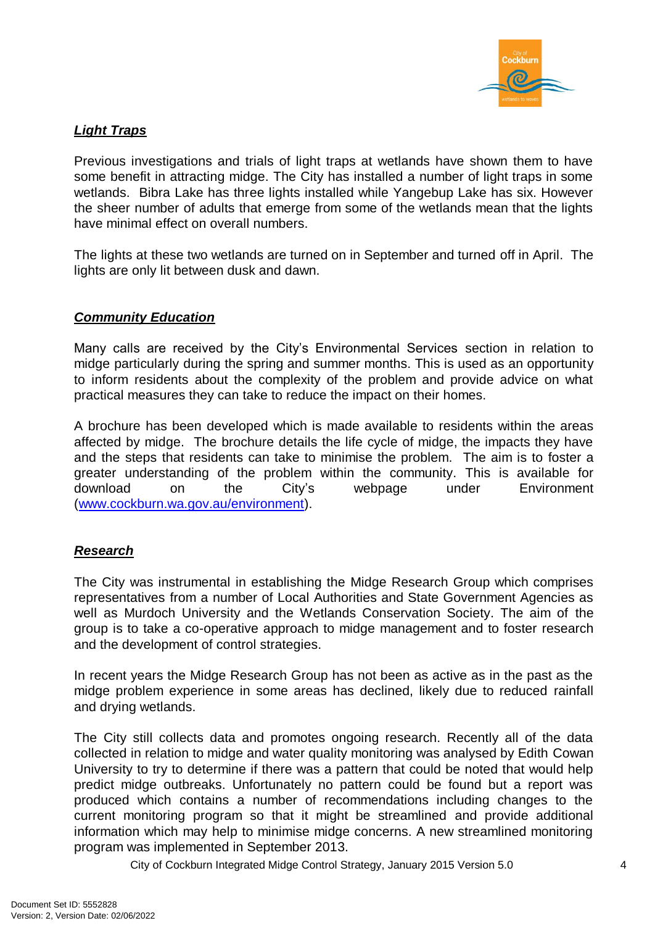

#### *Light Traps*

Previous investigations and trials of light traps at wetlands have shown them to have some benefit in attracting midge. The City has installed a number of light traps in some wetlands. Bibra Lake has three lights installed while Yangebup Lake has six. However the sheer number of adults that emerge from some of the wetlands mean that the lights have minimal effect on overall numbers.

The lights at these two wetlands are turned on in September and turned off in April. The lights are only lit between dusk and dawn.

#### *Community Education*

Many calls are received by the City's Environmental Services section in relation to midge particularly during the spring and summer months. This is used as an opportunity to inform residents about the complexity of the problem and provide advice on what practical measures they can take to reduce the impact on their homes.

A brochure has been developed which is made available to residents within the areas affected by midge. The brochure details the life cycle of midge, the impacts they have and the steps that residents can take to minimise the problem. The aim is to foster a greater understanding of the problem within the community. This is available for download on the City's webpage under Environment [\(www.cockburn.wa.gov.au/environment\)](http://www.cockburn.wa.gov.au/environment).

#### *Research*

The City was instrumental in establishing the Midge Research Group which comprises representatives from a number of Local Authorities and State Government Agencies as well as Murdoch University and the Wetlands Conservation Society. The aim of the group is to take a co-operative approach to midge management and to foster research and the development of control strategies.

In recent years the Midge Research Group has not been as active as in the past as the midge problem experience in some areas has declined, likely due to reduced rainfall and drying wetlands.

The City still collects data and promotes ongoing research. Recently all of the data collected in relation to midge and water quality monitoring was analysed by Edith Cowan University to try to determine if there was a pattern that could be noted that would help predict midge outbreaks. Unfortunately no pattern could be found but a report was produced which contains a number of recommendations including changes to the current monitoring program so that it might be streamlined and provide additional information which may help to minimise midge concerns. A new streamlined monitoring program was implemented in September 2013.

City of Cockburn Integrated Midge Control Strategy, January 2015 Version 5.0 4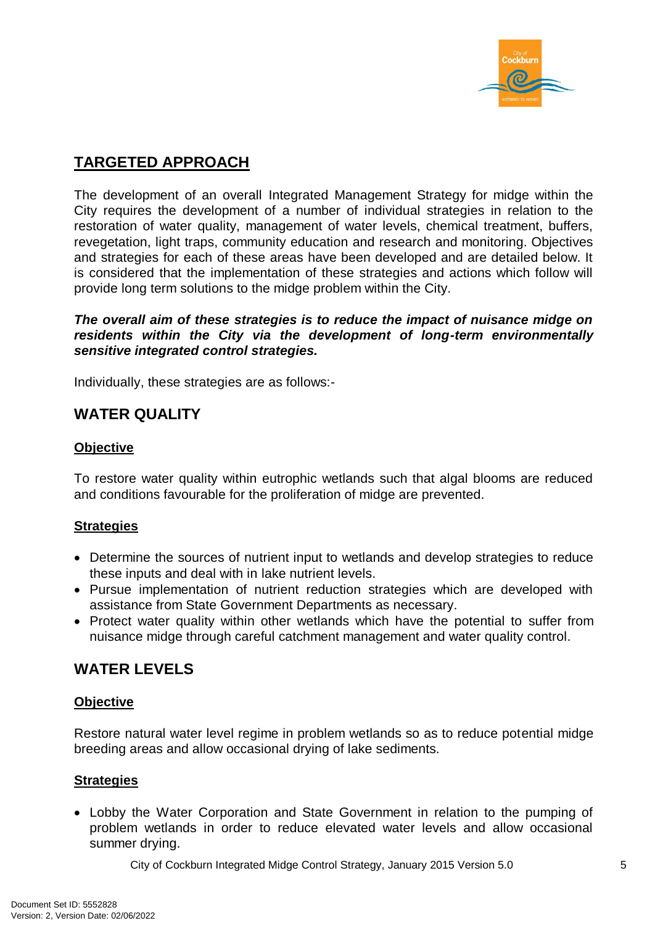

## **TARGETED APPROACH**

The development of an overall Integrated Management Strategy for midge within the City requires the development of a number of individual strategies in relation to the restoration of water quality, management of water levels, chemical treatment, buffers, revegetation, light traps, community education and research and monitoring. Objectives and strategies for each of these areas have been developed and are detailed below. It is considered that the implementation of these strategies and actions which follow will provide long term solutions to the midge problem within the City.

*The overall aim of these strategies is to reduce the impact of nuisance midge on residents within the City via the development of long-term environmentally sensitive integrated control strategies.*

Individually, these strategies are as follows:-

## **WATER QUALITY**

#### **Objective**

To restore water quality within eutrophic wetlands such that algal blooms are reduced and conditions favourable for the proliferation of midge are prevented.

#### **Strategies**

- Determine the sources of nutrient input to wetlands and develop strategies to reduce these inputs and deal with in lake nutrient levels.
- Pursue implementation of nutrient reduction strategies which are developed with assistance from State Government Departments as necessary.
- Protect water quality within other wetlands which have the potential to suffer from nuisance midge through careful catchment management and water quality control.

## **WATER LEVELS**

#### **Objective**

Restore natural water level regime in problem wetlands so as to reduce potential midge breeding areas and allow occasional drying of lake sediments.

#### **Strategies**

 Lobby the Water Corporation and State Government in relation to the pumping of problem wetlands in order to reduce elevated water levels and allow occasional summer drying.

City of Cockburn Integrated Midge Control Strategy, January 2015 Version 5.0 5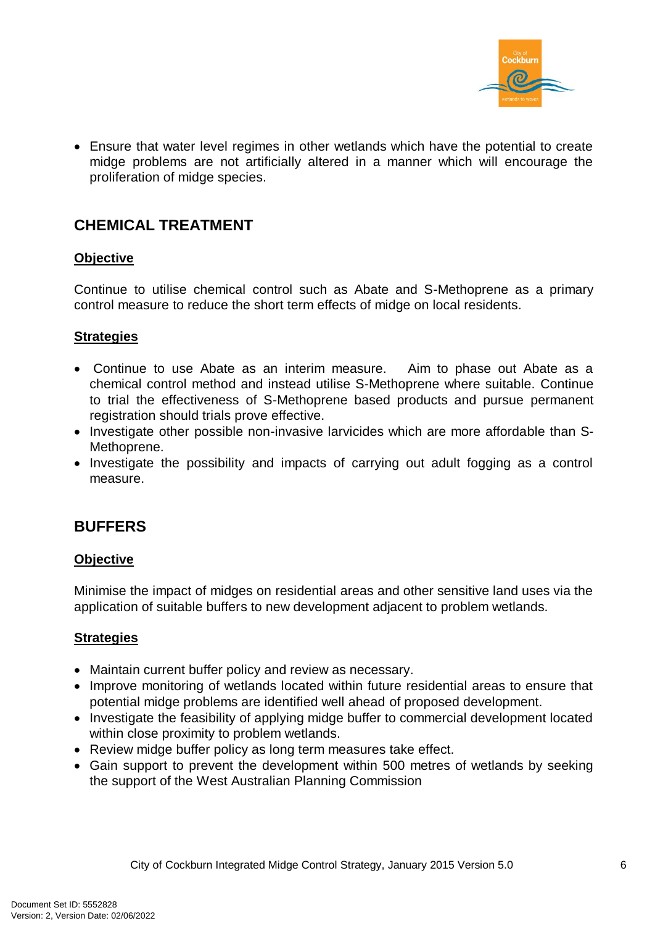

 Ensure that water level regimes in other wetlands which have the potential to create midge problems are not artificially altered in a manner which will encourage the proliferation of midge species.

## **CHEMICAL TREATMENT**

#### **Objective**

Continue to utilise chemical control such as Abate and S-Methoprene as a primary control measure to reduce the short term effects of midge on local residents.

#### **Strategies**

- Continue to use Abate as an interim measure. Aim to phase out Abate as a chemical control method and instead utilise S-Methoprene where suitable. Continue to trial the effectiveness of S-Methoprene based products and pursue permanent registration should trials prove effective.
- Investigate other possible non-invasive larvicides which are more affordable than S-Methoprene.
- Investigate the possibility and impacts of carrying out adult fogging as a control measure.

## **BUFFERS**

#### **Objective**

Minimise the impact of midges on residential areas and other sensitive land uses via the application of suitable buffers to new development adjacent to problem wetlands.

#### **Strategies**

- Maintain current buffer policy and review as necessary.
- Improve monitoring of wetlands located within future residential areas to ensure that potential midge problems are identified well ahead of proposed development.
- Investigate the feasibility of applying midge buffer to commercial development located within close proximity to problem wetlands.
- Review midge buffer policy as long term measures take effect.
- Gain support to prevent the development within 500 metres of wetlands by seeking the support of the West Australian Planning Commission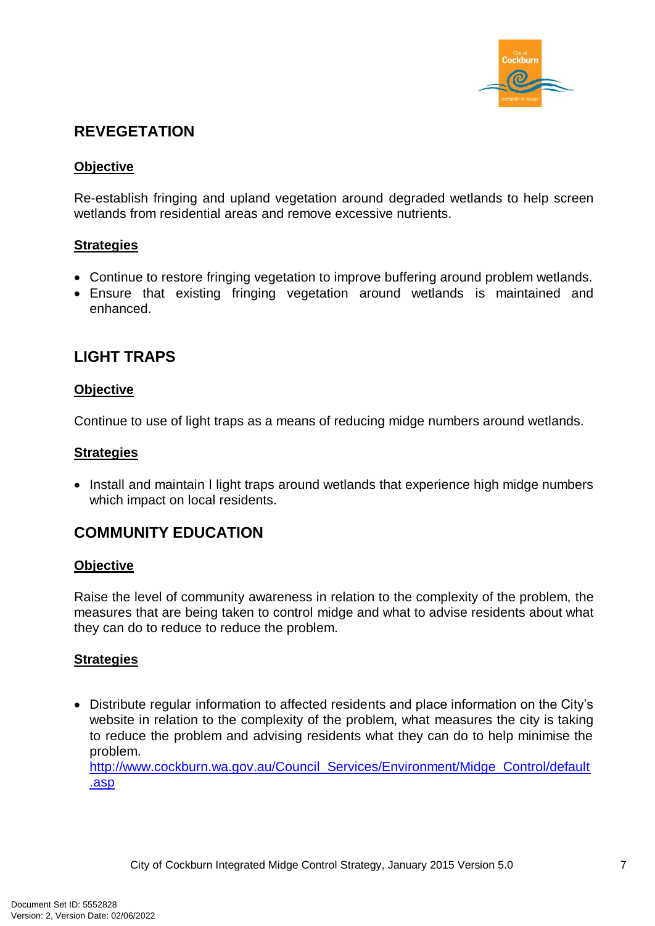

## **REVEGETATION**

#### **Objective**

Re-establish fringing and upland vegetation around degraded wetlands to help screen wetlands from residential areas and remove excessive nutrients.

#### **Strategies**

- Continue to restore fringing vegetation to improve buffering around problem wetlands.
- Ensure that existing fringing vegetation around wetlands is maintained and enhanced.

## **LIGHT TRAPS**

#### **Objective**

Continue to use of light traps as a means of reducing midge numbers around wetlands.

#### **Strategies**

• Install and maintain I light traps around wetlands that experience high midge numbers which impact on local residents.

## **COMMUNITY EDUCATION**

#### **Objective**

Raise the level of community awareness in relation to the complexity of the problem, the measures that are being taken to control midge and what to advise residents about what they can do to reduce to reduce the problem.

#### **Strategies**

 Distribute regular information to affected residents and place information on the City's website in relation to the complexity of the problem, what measures the city is taking to reduce the problem and advising residents what they can do to help minimise the problem.

[http://www.cockburn.wa.gov.au/Council\\_Services/Environment/Midge\\_Control/default](http://www.cockburn.wa.gov.au/Council_Services/Environment/Midge_Control/default.asp) [.asp](http://www.cockburn.wa.gov.au/Council_Services/Environment/Midge_Control/default.asp)